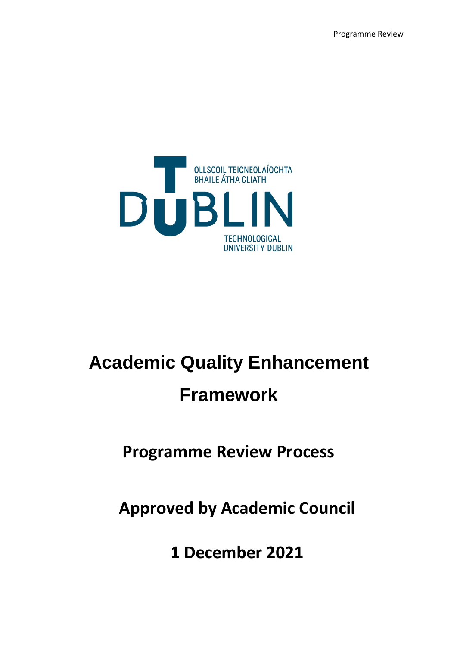Programme Review



# **Academic Quality Enhancement Framework**

# **Programme Review Process**

# **Approved by Academic Council**

**1 December 2021**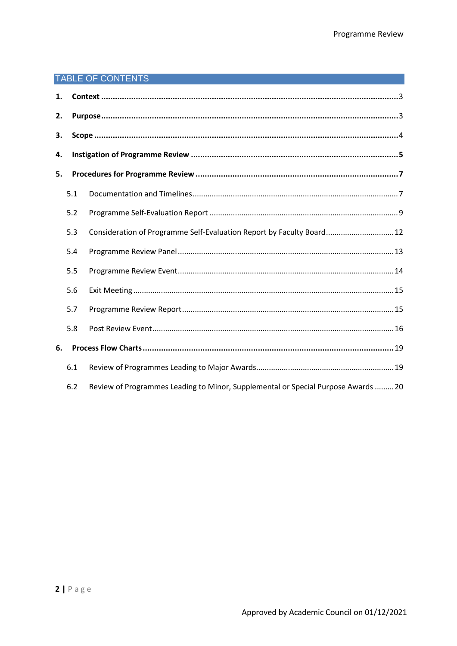## TABLE OF CONTENTS

| 1. |     |                                                                                   |  |  |
|----|-----|-----------------------------------------------------------------------------------|--|--|
| 2. |     |                                                                                   |  |  |
| З. |     |                                                                                   |  |  |
| 4. |     |                                                                                   |  |  |
| 5. |     |                                                                                   |  |  |
|    | 5.1 |                                                                                   |  |  |
|    | 5.2 |                                                                                   |  |  |
|    | 5.3 | Consideration of Programme Self-Evaluation Report by Faculty Board 12             |  |  |
|    | 5.4 |                                                                                   |  |  |
|    | 5.5 |                                                                                   |  |  |
|    | 5.6 |                                                                                   |  |  |
|    | 5.7 |                                                                                   |  |  |
|    | 5.8 |                                                                                   |  |  |
| 6. |     |                                                                                   |  |  |
|    | 6.1 |                                                                                   |  |  |
|    | 6.2 | Review of Programmes Leading to Minor, Supplemental or Special Purpose Awards  20 |  |  |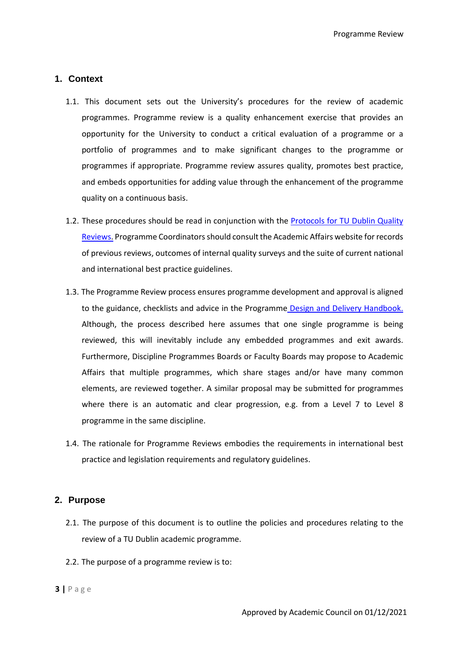Programme Review

#### <span id="page-2-0"></span>**1. Context**

- 1.1. This document sets out the University's procedures for the review of academic programmes. Programme review is a quality enhancement exercise that provides an opportunity for the University to conduct a critical evaluation of a programme or a portfolio of programmes and to make significant changes to the programme or programmes if appropriate. Programme review assures quality, promotes best practice, and embeds opportunities for adding value through the enhancement of the programme quality on a continuous basis.
- 1.2. These procedures should be read in conjunction with the Protocols for TU Dublin Quality Reviews. Programme Coordinators should consult the Academic Affairs website for records of previous reviews, outcomes of internal quality surveys and the suite of current national and international best practice guidelines.
- 1.3. The Programme Review process ensures programme development and approval is aligned to the guidance, checklists and advice in the Programme Design and Delivery Handbook. Although, the process described here assumes that one single programme is being reviewed, this will inevitably include any embedded programmes and exit awards. Furthermore, Discipline Programmes Boards or Faculty Boards may propose to Academic Affairs that multiple programmes, which share stages and/or have many common elements, are reviewed together. A similar proposal may be submitted for programmes where there is an automatic and clear progression, e.g. from a Level 7 to Level 8 programme in the same discipline.
- 1.4. The rationale for Programme Reviews embodies the requirements in international best practice and legislation requirements and regulatory guidelines.

#### <span id="page-2-1"></span>**2. Purpose**

- 2.1. The purpose of this document is to outline the policies and procedures relating to the review of a TU Dublin academic programme.
- 2.2. The purpose of a programme review is to: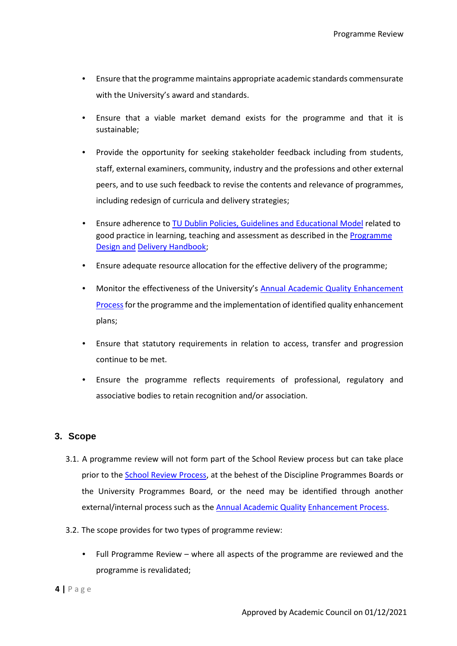- Ensure that the programme maintains appropriate academic standards commensurate with the University's award and standards.
- Ensure that a viable market demand exists for the programme and that it is sustainable;
- Provide the opportunity for seeking stakeholder feedback including from students, staff, external examiners, community, industry and the professions and other external peers, and to use such feedback to revise the contents and relevance of programmes, including redesign of curricula and delivery strategies;
- Ensure adherence to TU Dublin Policies, Guidelines and Educational Model related to good practice in learning, teaching and assessment as described in the Programme Design and Delivery Handbook;
- Ensure adequate resource allocation for the effective delivery of the programme;
- Monitor the effectiveness of the University's Annual Academic Quality Enhancement Processfor the programme and the implementation of identified quality enhancement plans;
- Ensure that statutory requirements in relation to access, transfer and progression continue to be met.
- Ensure the programme reflects requirements of professional, regulatory and associative bodies to retain recognition and/or association.

#### <span id="page-3-0"></span>**3. Scope**

- 3.1. A programme review will not form part of the School Review process but can take place prior to the School Review Process, at the behest of the Discipline Programmes Boards or the University Programmes Board, or the need may be identified through another external/internal process such as the Annual Academic Quality Enhancement Process.
- 3.2. The scope provides for two types of programme review:
	- Full Programme Review where all aspects of the programme are reviewed and the programme is revalidated;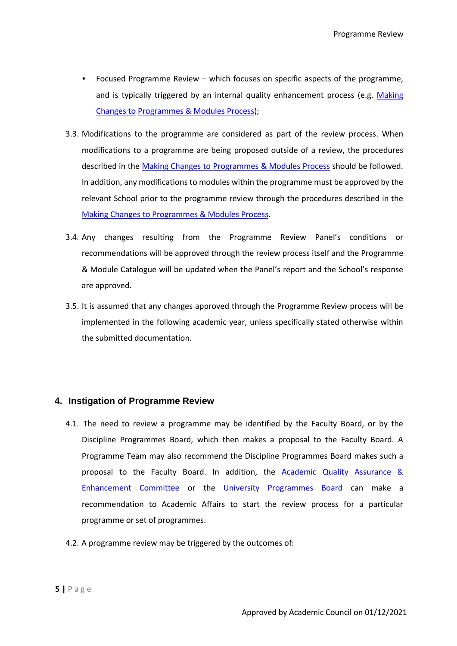- Focused Programme Review which focuses on specific aspects of the programme, and is typically triggered by an internal quality enhancement process (e.g. Making Changes to Programmes & Modules Process);
- 3.3. Modifications to the programme are considered as part of the review process. When modifications to a programme are being proposed outside of a review, the procedures described in the Making Changes to Programmes & Modules Process should be followed. In addition, any modifications to modules within the programme must be approved by the relevant School prior to the programme review through the procedures described in the Making Changes to Programmes & Modules Process.
- 3.4. Any changes resulting from the Programme Review Panel's conditions or recommendations will be approved through the review process itself and the Programme & Module Catalogue will be updated when the Panel's report and the School's response are approved.
- 3.5. It is assumed that any changes approved through the Programme Review process will be implemented in the following academic year, unless specifically stated otherwise within the submitted documentation.

#### <span id="page-4-0"></span>**4. Instigation of Programme Review**

- 4.1. The need to review a programme may be identified by the Faculty Board, or by the Discipline Programmes Board, which then makes a proposal to the Faculty Board. A Programme Team may also recommend the Discipline Programmes Board makes such a proposal to the Faculty Board. In addition, the  $Academic$  Quality Assurance  $&$ Enhancement Committee or the University Programmes Board can make a recommendation to Academic Affairs to start the review process for a particular programme or set of programmes.
- 4.2. A programme review may be triggered by the outcomes of: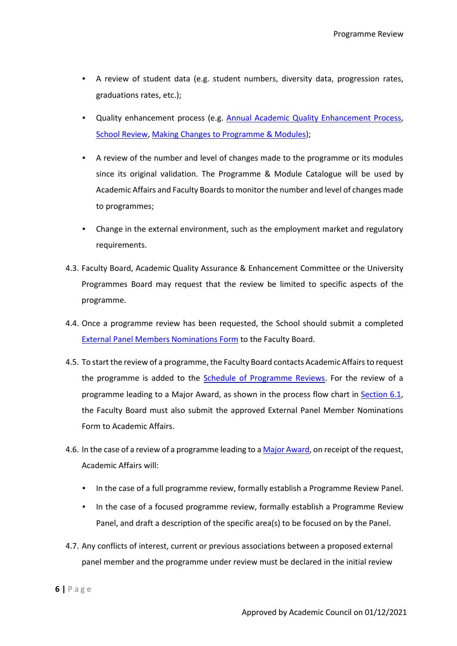- A review of student data (e.g. student numbers, diversity data, progression rates, graduations rates, etc.);
- Quality enhancement process (e.g. Annual Academic Quality Enhancement Process, School Review, Making Changes to Programme & Modules);
- A review of the number and level of changes made to the programme or its modules since its original validation. The Programme & Module Catalogue will be used by Academic Affairs and Faculty Boards to monitor the number and level of changes made to programmes;
- Change in the external environment, such as the employment market and regulatory requirements.
- 4.3. Faculty Board, Academic Quality Assurance & Enhancement Committee or the University Programmes Board may request that the review be limited to specific aspects of the programme.
- 4.4. Once a programme review has been requested, the School should submit a completed External Panel Members Nominations Form to the Faculty Board.
- 4.5. To start the review of a programme, the Faculty Board contacts Academic Affairs to request the programme is added to the Schedule of Programme Reviews. For the review of a programme leading to a Major Award, as shown in the process flow chart in Section 6.1, the Faculty Board must also submit the approved External Panel Member Nominations Form to Academic Affairs.
- 4.6. In the case of a review of a programme leading to a Major Award, on receipt of the request, Academic Affairs will:
	- In the case of a full programme review, formally establish a Programme Review Panel.
	- In the case of a focused programme review, formally establish a Programme Review Panel, and draft a description of the specific area(s) to be focused on by the Panel.
- 4.7. Any conflicts of interest, current or previous associations between a proposed external panel member and the programme under review must be declared in the initial review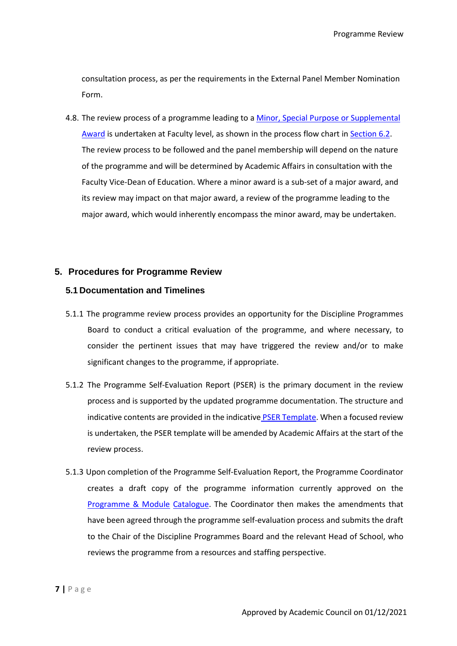consultation process, as per the requirements in the External Panel Member Nomination Form.

4.8. The review process of a programme leading to a Minor, Special Purpose or Supplemental Award is undertaken at Faculty level, as shown in the process flow chart in Section 6.2. The review process to be followed and the panel membership will depend on the nature of the programme and will be determined by Academic Affairs in consultation with the Faculty Vice-Dean of Education. Where a minor award is a sub-set of a major award, and its review may impact on that major award, a review of the programme leading to the major award, which would inherently encompass the minor award, may be undertaken.

#### <span id="page-6-0"></span>**5. Procedures for Programme Review**

#### <span id="page-6-1"></span>**5.1 Documentation and Timelines**

- 5.1.1 The programme review process provides an opportunity for the Discipline Programmes Board to conduct a critical evaluation of the programme, and where necessary, to consider the pertinent issues that may have triggered the review and/or to make significant changes to the programme, if appropriate.
- 5.1.2 The Programme Self-Evaluation Report (PSER) is the primary document in the review process and is supported by the updated programme documentation. The structure and indicative contents are provided in the indicative PSER Template. When a focused review is undertaken, the PSER template will be amended by Academic Affairs at the start of the review process.
- 5.1.3 Upon completion of the Programme Self-Evaluation Report, the Programme Coordinator creates a draft copy of the programme information currently approved on the Programme & Module Catalogue. The Coordinator then makes the amendments that have been agreed through the programme self-evaluation process and submits the draft to the Chair of the Discipline Programmes Board and the relevant Head of School, who reviews the programme from a resources and staffing perspective.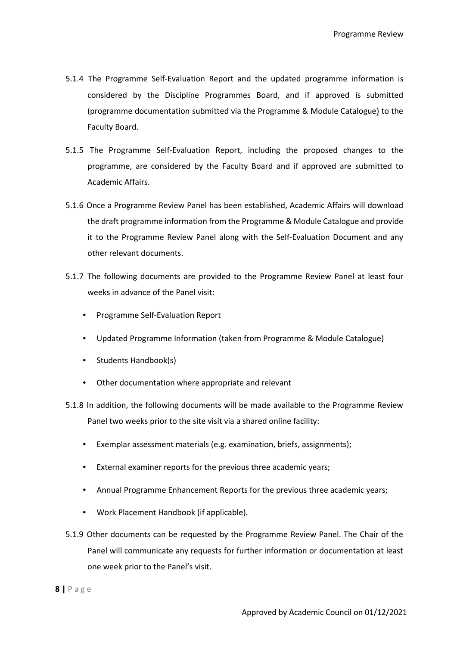- 5.1.4 The Programme Self-Evaluation Report and the updated programme information is considered by the Discipline Programmes Board, and if approved is submitted (programme documentation submitted via the Programme & Module Catalogue) to the Faculty Board.
- 5.1.5 The Programme Self-Evaluation Report, including the proposed changes to the programme, are considered by the Faculty Board and if approved are submitted to Academic Affairs.
- 5.1.6 Once a Programme Review Panel has been established, Academic Affairs will download the draft programme information from the Programme & Module Catalogue and provide it to the Programme Review Panel along with the Self-Evaluation Document and any other relevant documents.
- 5.1.7 The following documents are provided to the Programme Review Panel at least four weeks in advance of the Panel visit:
	- Programme Self-Evaluation Report
	- Updated Programme Information (taken from Programme & Module Catalogue)
	- Students Handbook(s)
	- Other documentation where appropriate and relevant
- 5.1.8 In addition, the following documents will be made available to the Programme Review Panel two weeks prior to the site visit via a shared online facility:
	- Exemplar assessment materials (e.g. examination, briefs, assignments);
	- External examiner reports for the previous three academic years;
	- Annual Programme Enhancement Reports for the previous three academic years;
	- Work Placement Handbook (if applicable).
- 5.1.9 Other documents can be requested by the Programme Review Panel. The Chair of the Panel will communicate any requests for further information or documentation at least one week prior to the Panel's visit.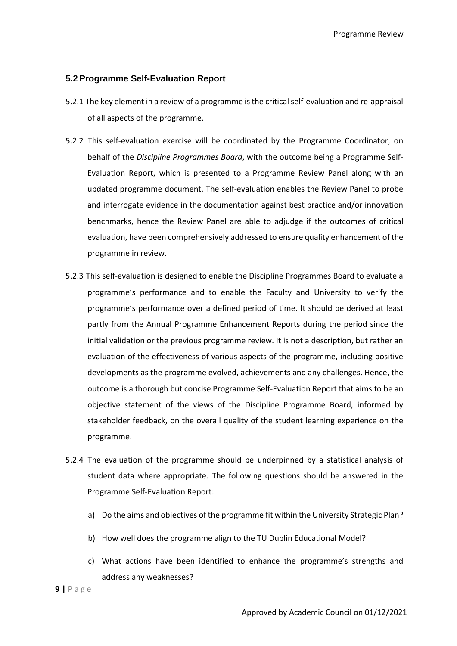Programme Review

#### <span id="page-8-0"></span>**5.2 Programme Self-Evaluation Report**

- 5.2.1 The key element in a review of a programme is the critical self-evaluation and re-appraisal of all aspects of the programme.
- 5.2.2 This self-evaluation exercise will be coordinated by the Programme Coordinator, on behalf of the *Discipline Programmes Board*, with the outcome being a Programme Self-Evaluation Report, which is presented to a Programme Review Panel along with an updated programme document. The self-evaluation enables the Review Panel to probe and interrogate evidence in the documentation against best practice and/or innovation benchmarks, hence the Review Panel are able to adjudge if the outcomes of critical evaluation, have been comprehensively addressed to ensure quality enhancement of the programme in review.
- 5.2.3 This self-evaluation is designed to enable the Discipline Programmes Board to evaluate a programme's performance and to enable the Faculty and University to verify the programme's performance over a defined period of time. It should be derived at least partly from the Annual Programme Enhancement Reports during the period since the initial validation or the previous programme review. It is not a description, but rather an evaluation of the effectiveness of various aspects of the programme, including positive developments as the programme evolved, achievements and any challenges. Hence, the outcome is a thorough but concise Programme Self-Evaluation Report that aims to be an objective statement of the views of the Discipline Programme Board, informed by stakeholder feedback, on the overall quality of the student learning experience on the programme.
- 5.2.4 The evaluation of the programme should be underpinned by a statistical analysis of student data where appropriate. The following questions should be answered in the Programme Self-Evaluation Report:
	- a) Do the aims and objectives of the programme fit within the University Strategic Plan?
	- b) How well does the programme align to the TU Dublin Educational Model?
	- c) What actions have been identified to enhance the programme's strengths and address any weaknesses?

**9 |** P a g e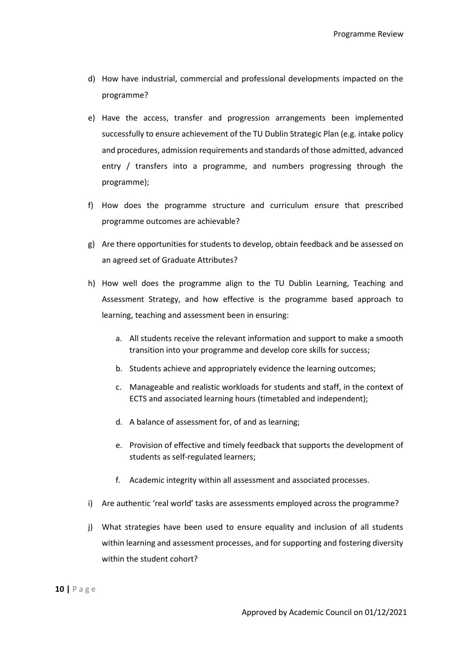- d) How have industrial, commercial and professional developments impacted on the programme?
- e) Have the access, transfer and progression arrangements been implemented successfully to ensure achievement of the TU Dublin Strategic Plan (e.g. intake policy and procedures, admission requirements and standards of those admitted, advanced entry / transfers into a programme, and numbers progressing through the programme);
- f) How does the programme structure and curriculum ensure that prescribed programme outcomes are achievable?
- g) Are there opportunities for students to develop, obtain feedback and be assessed on an agreed set of Graduate Attributes?
- h) How well does the programme align to the TU Dublin Learning, Teaching and Assessment Strategy, and how effective is the programme based approach to learning, teaching and assessment been in ensuring:
	- a. All students receive the relevant information and support to make a smooth transition into your programme and develop core skills for success;
	- b. Students achieve and appropriately evidence the learning outcomes;
	- c. Manageable and realistic workloads for students and staff, in the context of ECTS and associated learning hours (timetabled and independent);
	- d. A balance of assessment for, of and as learning;
	- e. Provision of effective and timely feedback that supports the development of students as self-regulated learners;
	- f. Academic integrity within all assessment and associated processes.
- i) Are authentic 'real world' tasks are assessments employed across the programme?
- j) What strategies have been used to ensure equality and inclusion of all students within learning and assessment processes, and for supporting and fostering diversity within the student cohort?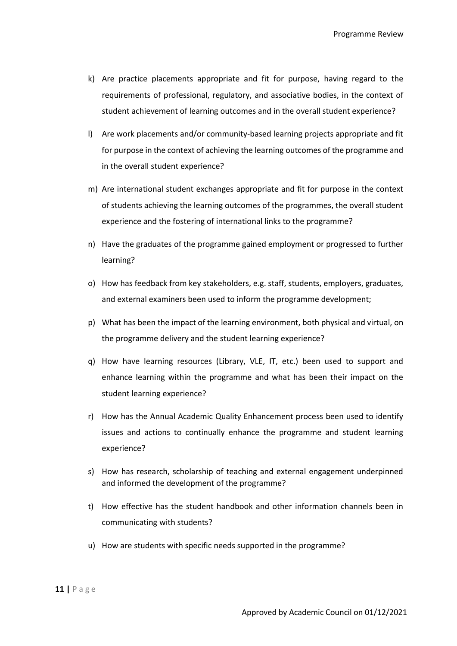- k) Are practice placements appropriate and fit for purpose, having regard to the requirements of professional, regulatory, and associative bodies, in the context of student achievement of learning outcomes and in the overall student experience?
- l) Are work placements and/or community-based learning projects appropriate and fit for purpose in the context of achieving the learning outcomes of the programme and in the overall student experience?
- m) Are international student exchanges appropriate and fit for purpose in the context of students achieving the learning outcomes of the programmes, the overall student experience and the fostering of international links to the programme?
- n) Have the graduates of the programme gained employment or progressed to further learning?
- o) How has feedback from key stakeholders, e.g. staff, students, employers, graduates, and external examiners been used to inform the programme development;
- p) What has been the impact of the learning environment, both physical and virtual, on the programme delivery and the student learning experience?
- q) How have learning resources (Library, VLE, IT, etc.) been used to support and enhance learning within the programme and what has been their impact on the student learning experience?
- r) How has the Annual Academic Quality Enhancement process been used to identify issues and actions to continually enhance the programme and student learning experience?
- s) How has research, scholarship of teaching and external engagement underpinned and informed the development of the programme?
- t) How effective has the student handbook and other information channels been in communicating with students?
- u) How are students with specific needs supported in the programme?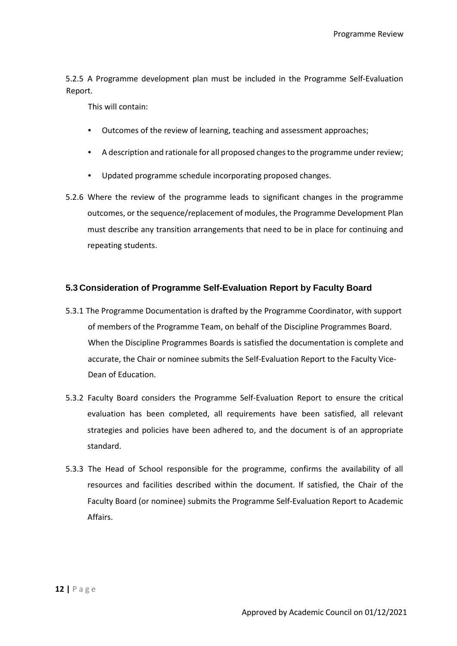5.2.5 A Programme development plan must be included in the Programme Self-Evaluation Report.

This will contain:

- Outcomes of the review of learning, teaching and assessment approaches;
- A description and rationale for all proposed changes to the programme under review;
- Updated programme schedule incorporating proposed changes.
- 5.2.6 Where the review of the programme leads to significant changes in the programme outcomes, or the sequence/replacement of modules, the Programme Development Plan must describe any transition arrangements that need to be in place for continuing and repeating students.

#### <span id="page-11-0"></span>**5.3 Consideration of Programme Self-Evaluation Report by Faculty Board**

- 5.3.1 The Programme Documentation is drafted by the Programme Coordinator, with support of members of the Programme Team, on behalf of the Discipline Programmes Board. When the Discipline Programmes Boards is satisfied the documentation is complete and accurate, the Chair or nominee submits the Self-Evaluation Report to the Faculty Vice-Dean of Education.
- 5.3.2 Faculty Board considers the Programme Self-Evaluation Report to ensure the critical evaluation has been completed, all requirements have been satisfied, all relevant strategies and policies have been adhered to, and the document is of an appropriate standard.
- 5.3.3 The Head of School responsible for the programme, confirms the availability of all resources and facilities described within the document. If satisfied, the Chair of the Faculty Board (or nominee) submits the Programme Self-Evaluation Report to Academic Affairs.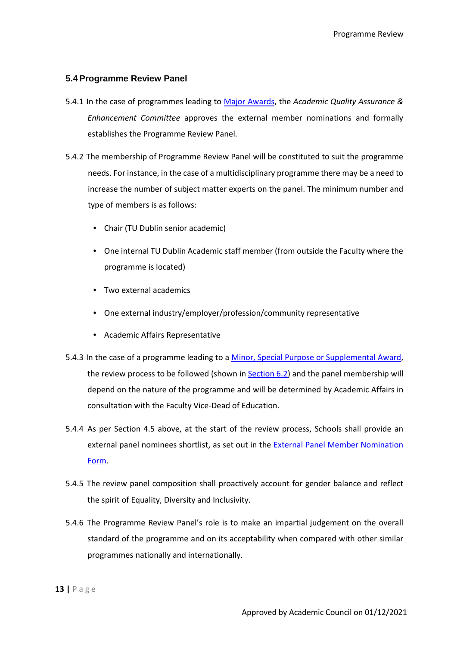#### <span id="page-12-0"></span>**5.4 Programme Review Panel**

- 5.4.1 In the case of programmes leading to Major Awards, the *Academic Quality Assurance & Enhancement Committee* approves the external member nominations and formally establishes the Programme Review Panel.
- 5.4.2 The membership of Programme Review Panel will be constituted to suit the programme needs. For instance, in the case of a multidisciplinary programme there may be a need to increase the number of subject matter experts on the panel. The minimum number and type of members is as follows:
	- Chair (TU Dublin senior academic)
	- One internal TU Dublin Academic staff member (from outside the Faculty where the programme is located)
	- Two external academics
	- One external industry/employer/profession/community representative
	- Academic Affairs Representative
- 5.4.3 In the case of a programme leading to a Minor, Special Purpose or Supplemental Award, the review process to be followed (shown in Section 6.2) and the panel membership will depend on the nature of the programme and will be determined by Academic Affairs in consultation with the Faculty Vice-Dead of Education.
- 5.4.4 As per Section 4.5 above, at the start of the review process, Schools shall provide an external panel nominees shortlist, as set out in the **External Panel Member Nomination** Form.
- 5.4.5 The review panel composition shall proactively account for gender balance and reflect the spirit of Equality, Diversity and Inclusivity.
- 5.4.6 The Programme Review Panel's role is to make an impartial judgement on the overall standard of the programme and on its acceptability when compared with other similar programmes nationally and internationally.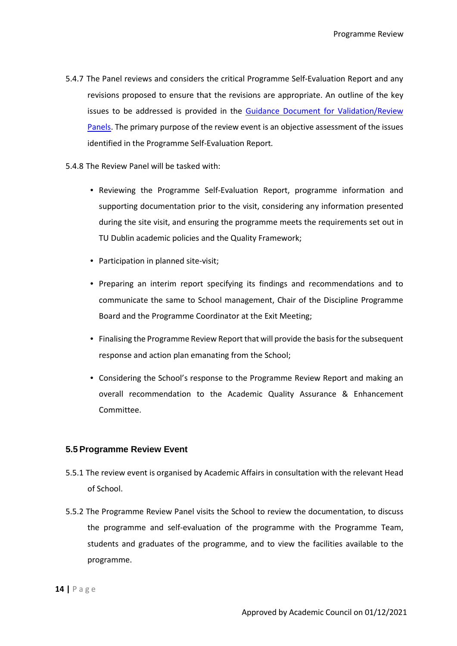- 5.4.7 The Panel reviews and considers the critical Programme Self-Evaluation Report and any revisions proposed to ensure that the revisions are appropriate. An outline of the key issues to be addressed is provided in the Guidance Document for Validation/Review Panels. The primary purpose of the review event is an objective assessment of the issues identified in the Programme Self-Evaluation Report.
- 5.4.8 The Review Panel will be tasked with:
	- Reviewing the Programme Self-Evaluation Report, programme information and supporting documentation prior to the visit, considering any information presented during the site visit, and ensuring the programme meets the requirements set out in TU Dublin academic policies and the Quality Framework;
	- Participation in planned site-visit;
	- Preparing an interim report specifying its findings and recommendations and to communicate the same to School management, Chair of the Discipline Programme Board and the Programme Coordinator at the Exit Meeting;
	- Finalising the Programme Review Report that will provide the basis for the subsequent response and action plan emanating from the School;
	- Considering the School's response to the Programme Review Report and making an overall recommendation to the Academic Quality Assurance & Enhancement Committee.

#### <span id="page-13-0"></span>**5.5 Programme Review Event**

- 5.5.1 The review event is organised by Academic Affairs in consultation with the relevant Head of School.
- 5.5.2 The Programme Review Panel visits the School to review the documentation, to discuss the programme and self-evaluation of the programme with the Programme Team, students and graduates of the programme, and to view the facilities available to the programme.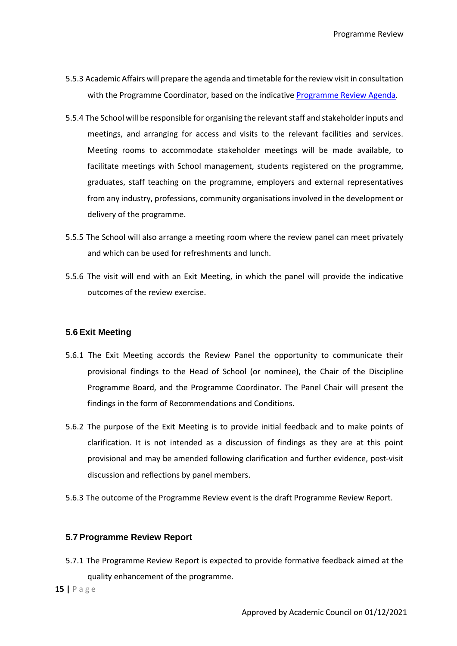- 5.5.3 Academic Affairs will prepare the agenda and timetable for the review visit in consultation with the Programme Coordinator, based on the indicative Programme Review Agenda.
- 5.5.4 The School will be responsible for organising the relevant staff and stakeholder inputs and meetings, and arranging for access and visits to the relevant facilities and services. Meeting rooms to accommodate stakeholder meetings will be made available, to facilitate meetings with School management, students registered on the programme, graduates, staff teaching on the programme, employers and external representatives from any industry, professions, community organisations involved in the development or delivery of the programme.
- 5.5.5 The School will also arrange a meeting room where the review panel can meet privately and which can be used for refreshments and lunch.
- 5.5.6 The visit will end with an Exit Meeting, in which the panel will provide the indicative outcomes of the review exercise.

#### <span id="page-14-0"></span>**5.6 Exit Meeting**

- 5.6.1 The Exit Meeting accords the Review Panel the opportunity to communicate their provisional findings to the Head of School (or nominee), the Chair of the Discipline Programme Board, and the Programme Coordinator. The Panel Chair will present the findings in the form of Recommendations and Conditions.
- 5.6.2 The purpose of the Exit Meeting is to provide initial feedback and to make points of clarification. It is not intended as a discussion of findings as they are at this point provisional and may be amended following clarification and further evidence, post-visit discussion and reflections by panel members.
- 5.6.3 The outcome of the Programme Review event is the draft Programme Review Report.

#### <span id="page-14-1"></span>**5.7 Programme Review Report**

5.7.1 The Programme Review Report is expected to provide formative feedback aimed at the quality enhancement of the programme.

**15 |** P a g e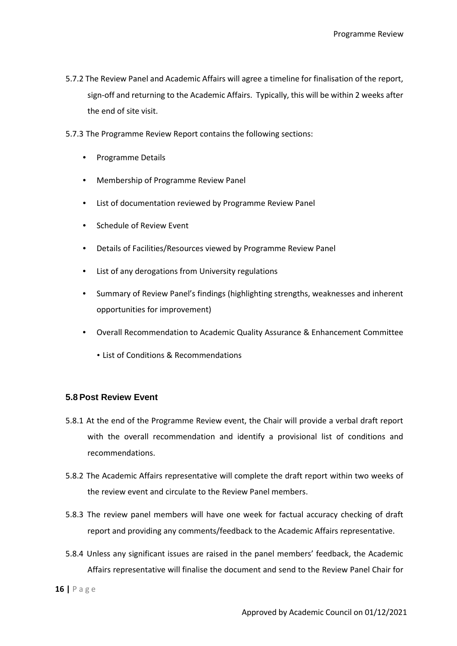- 5.7.2 The Review Panel and Academic Affairs will agree a timeline for finalisation of the report, sign-off and returning to the Academic Affairs. Typically, this will be within 2 weeks after the end of site visit.
- 5.7.3 The Programme Review Report contains the following sections:
	- Programme Details
	- Membership of Programme Review Panel
	- List of documentation reviewed by Programme Review Panel
	- Schedule of Review Event
	- Details of Facilities/Resources viewed by Programme Review Panel
	- List of any derogations from University regulations
	- Summary of Review Panel's findings (highlighting strengths, weaknesses and inherent opportunities for improvement)
	- Overall Recommendation to Academic Quality Assurance & Enhancement Committee
		- List of Conditions & Recommendations

#### <span id="page-15-0"></span>**5.8 Post Review Event**

- 5.8.1 At the end of the Programme Review event, the Chair will provide a verbal draft report with the overall recommendation and identify a provisional list of conditions and recommendations.
- 5.8.2 The Academic Affairs representative will complete the draft report within two weeks of the review event and circulate to the Review Panel members.
- 5.8.3 The review panel members will have one week for factual accuracy checking of draft report and providing any comments/feedback to the Academic Affairs representative.
- 5.8.4 Unless any significant issues are raised in the panel members' feedback, the Academic Affairs representative will finalise the document and send to the Review Panel Chair for

**16 |** P a g e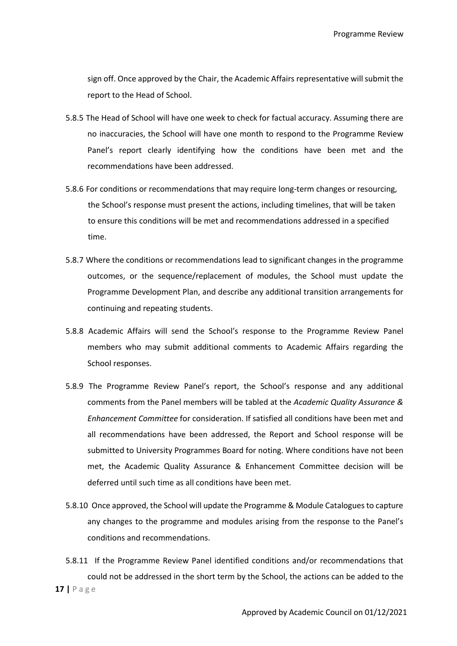sign off. Once approved by the Chair, the Academic Affairs representative will submit the report to the Head of School.

- 5.8.5 The Head of School will have one week to check for factual accuracy. Assuming there are no inaccuracies, the School will have one month to respond to the Programme Review Panel's report clearly identifying how the conditions have been met and the recommendations have been addressed.
- 5.8.6 For conditions or recommendations that may require long-term changes or resourcing, the School's response must present the actions, including timelines, that will be taken to ensure this conditions will be met and recommendations addressed in a specified time.
- 5.8.7 Where the conditions or recommendations lead to significant changes in the programme outcomes, or the sequence/replacement of modules, the School must update the Programme Development Plan, and describe any additional transition arrangements for continuing and repeating students.
- 5.8.8 Academic Affairs will send the School's response to the Programme Review Panel members who may submit additional comments to Academic Affairs regarding the School responses.
- 5.8.9 The Programme Review Panel's report, the School's response and any additional comments from the Panel members will be tabled at the *Academic Quality Assurance & Enhancement Committee* for consideration. If satisfied all conditions have been met and all recommendations have been addressed, the Report and School response will be submitted to University Programmes Board for noting. Where conditions have not been met, the Academic Quality Assurance & Enhancement Committee decision will be deferred until such time as all conditions have been met.
- 5.8.10 Once approved, the School will update the Programme & Module Catalogues to capture any changes to the programme and modules arising from the response to the Panel's conditions and recommendations.
- **17 |** P a g e 5.8.11 If the Programme Review Panel identified conditions and/or recommendations that could not be addressed in the short term by the School, the actions can be added to the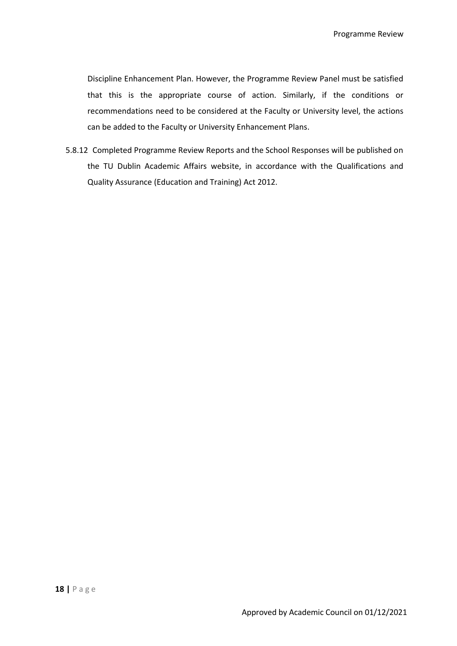Discipline Enhancement Plan. However, the Programme Review Panel must be satisfied that this is the appropriate course of action. Similarly, if the conditions or recommendations need to be considered at the Faculty or University level, the actions can be added to the Faculty or University Enhancement Plans.

5.8.12 Completed Programme Review Reports and the School Responses will be published on the TU Dublin Academic Affairs website, in accordance with the Qualifications and Quality Assurance (Education and Training) Act 2012.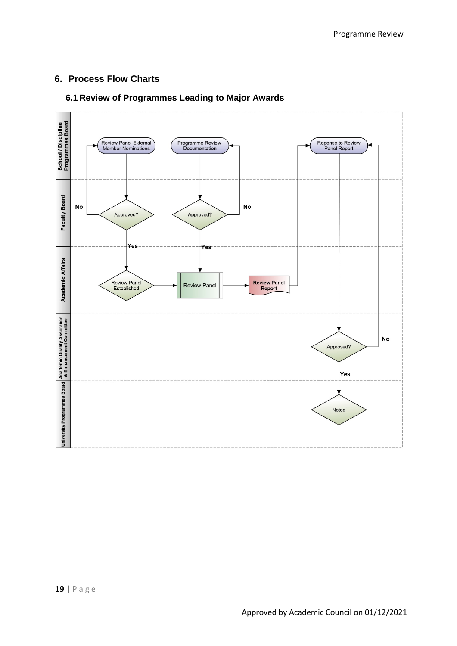### <span id="page-18-0"></span>**6. Process Flow Charts**

#### <span id="page-18-1"></span>**6.1 Review of Programmes Leading to Major Awards**